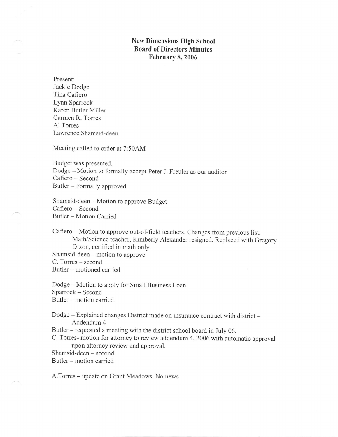## New Dimensions High School Board of Directors Minutes February 8, 2006

Present: Jackie Dodge Tina Cafiero Lynn Sparrock Karen Butler Miller Carmen R. Torres Al Torres Lawrence Shamsid-deen

Meeting called to order at 7:50AM

Budget was presented. Dodge - Motion to formally accept Peter J. Freuler as our auditor Cafiero - Second Butler - Formally approved

Shamsid-deen - Motion to approve Budget Cafiero - Second Butler - Motion Carried

Cafiero - Motion to approve out-of-field teachers. Changes from previous list: Math/Science teacher, Kimberly Alexander resigned. Replaced with Gregory Dixon, certified in math only. Shamsid-deen - motion to approve C. Torres – second

Butler - motioned carried

Dodge - Motion to apply for Small Business Loan Sparrock - Second Butler - motion carried

Dodge - Explained changes District made on insurance contract with district -Addendum 4 Butler - requested a meeting with the district school board in July 06. C. Torres- motion for attorney to review addendum 4,2006 with automatic approval upon attorney review and approval. Shamsid-deen - second Butler - motion carried

A.Torres – update on Grant Meadows. No news